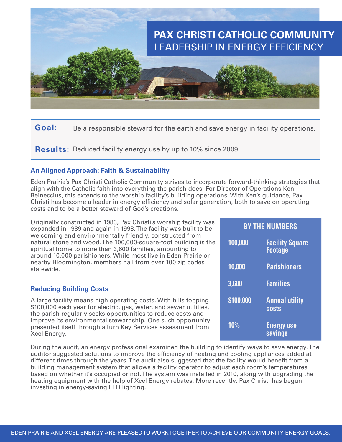

**Goal:** Be a responsible steward for the earth and save energy in facility operations.

**Results:** Reduced facility energy use by up to 10% since 2009.

## **An Aligned Approach: Faith & Sustainability**

Eden Prairie's Pax Christi Catholic Community strives to incorporate forward-thinking strategies that align with the Catholic faith into everything the parish does. For Director of Operations Ken Reineccius, this extends to the worship facility's building operations. With Ken's guidance, Pax Christi has become a leader in energy efficiency and solar generation, both to save on operating costs and to be a better steward of God's creations.

Originally constructed in 1983, Pax Christi's worship facility was expanded in 1989 and again in 1998. The facility was built to be welcoming and environmentally friendly, constructed from natural stone and wood. The 100,000-square-foot building is the spiritual home to more than 3,600 families, amounting to around 10,000 parishioners. While most live in Eden Prairie or nearby Bloomington, members hail from over 100 zip codes statewide.

#### **Reducing Building Costs**

A large facility means high operating costs. With bills topping \$100,000 each year for electric, gas, water, and sewer utilities, the parish regularly seeks opportunities to reduce costs and improve its environmental stewardship. One such opportunity presented itself through a Turn Key Services assessment from Xcel Energy.

During the audit, an energy professional examined the building to identify ways to save energy. The auditor suggested solutions to improve the efficiency of heating and cooling appliances added at different times through the years. The audit also suggested that the facility would benefit from a building management system that allows a facility operator to adjust each room's temperatures based on whether it's occupied or not. The system was installed in 2010, along with upgrading the heating equipment with the help of Xcel Energy rebates. More recently, Pax Christi has begun investing in energy-saving LED lighting.

| <b>BY THE NUMBERS</b> |                                       |
|-----------------------|---------------------------------------|
| 100,000               | <b>Facility Square</b><br>Footage     |
| 10,000                | <b>Parishioners</b>                   |
| 3,600                 | <b>Families</b>                       |
| \$100,000             | <b>Annual utility</b><br><b>costs</b> |
| <b>10%</b>            | <b>Energy use</b><br>savings          |